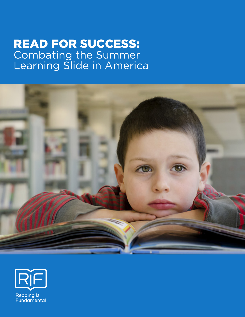# **READ FOR SUCCESS:** Combating the Summer Learning Slide in America





**Reading Is** Fundamental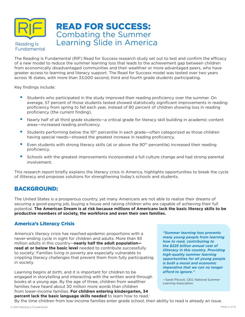

The Reading Is Fundamental (RIF) Read for Success research study set out to test and confirm the efficacy of a new model to reduce the summer learning loss that leads to the achievement gap between children from economically disadvantaged communities and their wealthier or more advantaged peers, who have greater access to learning and literacy support. The Read for Success model was tested over two years across 16 states, with more than 33,000 second, third and fourth grade students participating.

Key findings include:

- Students who participated in the study improved their reading proficiency over the summer. On average, 57 percent of those students tested showed statistically significant improvements in reading proficiency from spring to fall each year, instead of 80 percent of children showing loss in reading proficiency (the current finding).
- Nearly half of all third grade students—a critical grade for literacy skill building in academic content areas—increased reading proficiency.
- Students performing below the 10<sup>th</sup> percentile in each grade—often categorized as those children having special needs—showed the greatest increase in reading proficiency.
- Even students with strong literacy skills (at or above the 90<sup>th</sup> percentile) increased their reading proficiency.
- Schools with the greatest improvements incorporated a full culture change and had strong parental involvement.

This research report briefly explains the literacy crisis in America, highlights opportunities to break the cycle of illiteracy and proposes solutions for strengthening today's schools and students.

### BACKGROUND:

The United States is a prosperous country, yet many Americans are not able to realize their dreams of securing a good-paying job, buying a house and raising children who are capable of achieving their full potential. **The American Dream is at risk because millions of Americans lack the basic literacy skills to be productive members of society, the workforce and even their own families.** 

### America's Literacy Crisis

America's literacy crisis has reached epidemic proportions with a never-ending cycle in sight for children and adults. More than 93 million adults in this country—**nearly half the adult population read at or below the basic level** needed to contribute successfully to society.<sup>†</sup> Families living in poverty are especially vulnerable to crippling literacy challenges that prevent them from fully participating in society.

Learning begins at birth, and it is important for children to be engaged in storytelling and interacting with the written word through books at a young age. By the age of three, children from wealthier families have heard about 30 million more words than children from lower-income families. **For children entering kindergarten, 34 percent lack the basic language skills needed** to learn how to read.i

*"Summer learning loss prevents many young people from learning how to read, contributing to the \$225 billion annual cost of illiteracy in this country. Providing high-quality summer learning opportunities for all young people is both a moral and economic imperative that we can no longer afford to ignore."*

—Sarah Pitcock, CEO, National Summer Learning Association

By the time children from low-income families enter grade school, their ability to read is already an issue.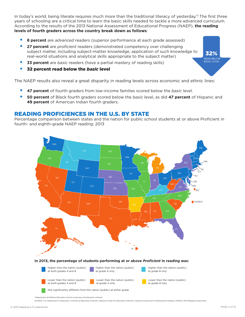In today's world, being literate requires much more than the traditional literacy of yesterday.<sup>iii</sup> The first three years of schooling are a critical time to learn the basic skills needed to tackle a more advanced curriculum. According to the results of the 2013 National Assessment of Educational Progress (NAEP), **the reading levels of fourth graders across the country break down as follows**:

- **8 percent** are *advanced* readers (superior performance at each grade assessed)
- **27 percent** are *proficient* readers (demonstrated competency over challenging subject matter, including subject-matter knowledge, application of such knowledge to real-world situations and analytical skills appropriate to the subject matter)
- **33 percent** are *basic* readers (have a partial mastery of reading skills)
- 32 percent read below the *basic* level

The NAEP results also reveal a great disparity in reading levels across economic and ethnic lines:

- **47 percent** of fourth graders from low-income families scored below the *basic* level.
- **50 percent** of Black fourth graders scored below the *basic* level, as did **47 percent** of Hispanic and **49 percent** of American Indian fourth graders.

### READING PROFICIENCES IN THE U.S. BY STATE

Percentage comparison between states and the nation for public school students at or above Proficient in fourth- and eighth-grade NAEP reading: 2013



1 Department of Defense Education Activity (overseas and domestic schools).

SOURCE: U.S. Department of Education, Institute of Education Sciences, National Center for Education Statistics, National Assessment of Educational Progress (NAEP), 2013 Reading Assessment

32% READ BELOW BASIC LEVEL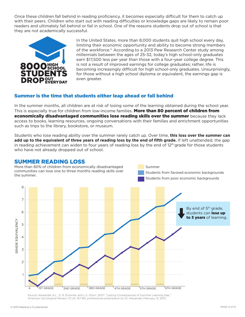Once these children fall behind in reading proficiency, it becomes especially difficult for them to catch up with their peers. Children who start out with reading difficulties or knowledge gaps are likely to remain poor readers and ultimately fall behind or fail in school. One of the reasons students drop out of school is that they are not academically successful.



In the United States, more than 8,000 students quit high school every day, limiting their economic opportunity and ability to become strong members of the workforce.<sup>iv</sup> According to a 2013 Pew Research Center study among millennials between the ages of 25-32, today's high school-only graduates earn \$17,500 less per year than those with a four-year college degree. This is not a result of improved earnings for college graduates; rather, life is becoming increasingly difficult for high school-only graduates. Unsurprisingly, for those without a high school diploma or equivalent, the earnings gap is even greater.

### Summer is the time that students either leap ahead or fall behind

In the summer months, all children are at risk of losing some of the learning obtained during the school year. This is especially true for children from low-income families. More than 80 percent of children from economically disadvantaged communities lose reading skills over the summer because they lack access to books, learning resources, ongoing conversations with their families and enrichment opportunities such as trips to the library, bookstore, or museum.

Students who lose reading ability over the summer rarely catch up. Over time, **this loss over the summer can add up to the equivalent of three years of reading loss by the end of fifth grade.** If left unattended, the gap in reading achievement can widen to four years of reading loss by the end of 12<sup>th</sup> grade for those students who have not already dropped out of school.

### SUMMER READING LOSS



Source: Alexander, K.L., D. R. Entwisle, and L.S. Olson. 2007. "Lasting Consequences of Summer Learning Gap." American Sociological Review 72 (4): 167-80; professional presentation by Dr. Alexander, February 12, 2015.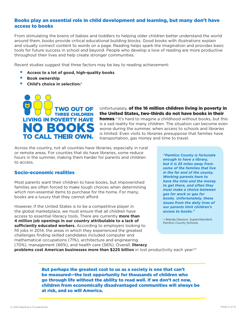### Books play an essential role in child development and learning, but many don't have access to books

From stimulating the brains of babies and toddlers to helping older children better understand the world around them, books provide critical educational building blocks. Good books with illustrations explain and visually connect content to words on a page. Reading helps spark the imagination and provides basic tools for future success in school and beyond. People who develop a love of reading are more productive throughout their lives and help create stronger communities.

Recent studies suggest that three factors may be key to reading achievement:

- **Access to a lot of good, high-quality books**
- **Book ownership**
- **Child's choice in selection.v**



Unfortunately, of the 16 million children living in poverty in the United States, two-thirds do not have books in their homes.<sup>vi</sup> It's hard to imagine a childhood without books, but this is a sad reality for many children. The situation can become even worse during the summer, when access to schools and libraries is limited. Even visits to libraries presuppose that families have transportation, gas money and time to travel.

Across the country, not all counties have libraries, especially in rural or remote areas. For counties that do have libraries, some reduce hours in the summer, making them harder for parents and children to access.

#### Socio-economic realities

Most parents want their children to have books, but impoverished families are often forced to make tough choices when determining which non-essential items to purchase for the home. For many, books are a luxury that they cannot afford.

However, if the United States is to be a competitive player in the global marketplace, we must ensure that all children have access to essential literacy tools. There are currently **more than 4 million job openings in our country attributable to a lack of sufficiently educated workers.** According to employers looking to fill jobs in 2014, the areas in which they experienced the greatest challenges finding skilled candidates included computer and mathematical occupations (71%), architecture and engineering (70%), management (66%), and health care (56%). Overall, **literacy** 

*"Pamlico County is fortunate enough to have a library, but it is 35 miles away from some of the families that live in the far end of the county. Working parents have to have the time and the money to get there, and often they must make a choice between gas for work or gas for books. Unfortunately, these issues from the daily lives of our parents limit children's access to books."*

—Wanda Dawson, Superintendent, Pamlico County Schools

**problems cost American businesses more than \$225 billion** in lost productivity each year.viii

But perhaps the greatest cost to us as a society is one that can't be measured—the lost opportunity for thousands of children who go through life without the ability to read well. If we don't act now, children from economically disadvantaged communities will always be at risk, and so will America.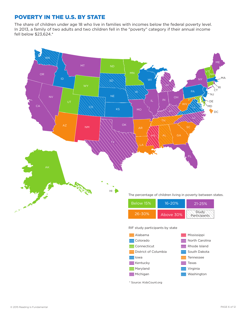### POVERTY IN THE U.S. BY STATE

The share of children under age 18 who live in families with incomes below the federal poverty level. In 2013, a family of two adults and two children fell in the "poverty" category if their annual income fell below \$23,624.\*

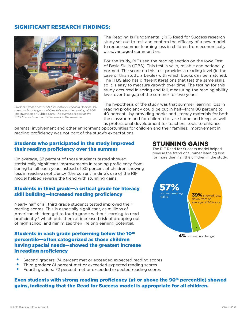### SIGNIFICANT RESEARCH FINDINGS:



*Students from Forest Hills Elementary School in Danville, VA measure bubble gum bubbles following the reading of* POP! The Invention of Bubble Gum*. The exercise is part of the STEAM enrichment activities used in the research.*

The Reading Is Fundamental (RIF) Read for Success research study set out to test and confirm the efficacy of a new model to reduce summer learning loss in children from economically disadvantaged communities.

For the study, RIF used the reading section on the Iowa Test of Basic Skills (ITBS). This test is valid, reliable and nationally normed. The score on this test provides a reading level (in the case of this study, a Lexile) with which books can be matched. The ITBS also has different iterations that test the same skills, so it is easy to measure growth over time. The testing for this study occurred in spring and fall, measuring the reading ability level over the gap of the summer for two years.

The hypothesis of the study was that summer learning loss in reading proficiency could be cut in half—from 80 percent to 40 percent—by providing books and literacy materials for both the classroom and for children to take home and keep, as well as professional development for teachers, tools to enhance

parental involvement and other enrichment opportunities for children and their families. Improvement in reading proficiency was not part of the study's expectations.

### Students who participated in the study improved their reading proficiency over the summer

On average, 57 percent of those students tested showed statistically significant improvements in reading proficiency from spring to fall each year. Instead of 80 percent of children showing loss in reading proficiency (the current finding), use of the RIF model helped reverse the trend with stunning gains.

### Students in third grade—a critical grade for literacy skill building—increased reading proficiency

Nearly half of all third grade students tested improved their reading scores. This is especially significant, as millions of American children get to fourth grade without learning to read proficiently,ix which puts them at increased risk of dropping out of high school and minimizes their lifelong earning potential.

### Students in each grade performing below the 10<sup>th</sup> percentile—often categorized as those children having special needs—showed the greatest increase in reading proficiency

## STUNNING GAINS

The RIF Read for Success model helped reverse the trend of summer learning loss for more than half the children in the study.



- Second graders: 74 percent met or exceeded expected reading scores
- Third graders: 81 percent met or exceeded expected reading scores
- Fourth graders: 72 percent met or exceeded expected reading scores

### Even students with strong reading proficiency (at or above the 90<sup>th</sup> percentile) showed gains, indicating that the Read for Success model is appropriate for all children.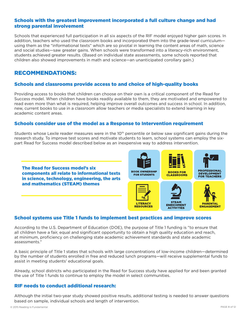### Schools with the greatest improvement incorporated a full culture change and had strong parental involvement

Schools that experienced full participation in all six aspects of the RIF model enjoyed higher gain scores. In addition, teachers who used the classroom books and incorporated them into the grade-level curriculum using them as the "informational texts" which are so pivotal in learning the content areas of math, science and social studies—saw greater gains. When schools were transformed into a literacy-rich environment, students achieved greater results. (Based on individual state assessments, some schools reported that children also showed improvements in math and science—an unanticipated corollary gain.)

### RECOMMENDATIONS:

### Schools and classrooms provide access to and choice of high-quality books

Providing access to books that children can choose on their own is a critical component of the Read for Success model. When children have books readily available to them, they are motivated and empowered to read even more than what is required, helping improve overall outcomes and success in school. In addition, new, current books to use in a classroom allow teachers or media specialists to extend learning in key academic content areas.

#### Schools consider use of the model as a Response to Intervention requirement

Students whose Lexile reader measures were in the 10<sup>th</sup> percentile or below saw significant gains during the research study. To improve test scores and motivate students to learn, school systems can employ the sixpart Read for Success model described below as an inexpensive way to address intervention.





### School systems use Title 1 funds to implement best practices and improve scores

According to the U.S. Department of Education (DOE), the purpose of Title 1 funding is "to ensure that all children have a fair, equal and significant opportunity to obtain a high quality education and reach, at minimum, proficiency on challenging state academic achievement standards and state academic assessments."

A basic principle of Title 1 states that schools with large concentrations of low-income children—determined by the number of students enrolled in free and reduced lunch programs—will receive supplemental funds to assist in meeting students' educational goals.

Already, school districts who participated in the Read for Success study have applied for and been granted the use of Title 1 funds to continue to employ the model in select communities.

#### RIF needs to conduct additional research:

Although the initial two-year study showed positive results, additional testing is needed to answer questions based on sample, individual schools and length of intervention.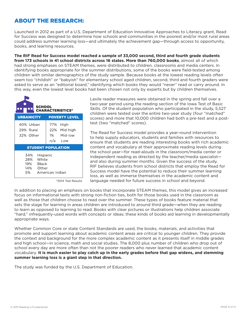### ABOUT THE RESEARCH:

Launched in 2012 as part of a U.S. Department of Education Innovative Approaches to Literacy grant, Read for Success was designed to determine how schools and communities in the poorest and/or most rural areas could address summer learning loss—and ultimately the achievement gap—through access to opportunity, books, and learning resources.

**The RIF Read for Success model reached a sample of 33,000 second, third and fourth grade students from 173 schools in 41 school districts across 16 states. More than 760,000 books**, almost all of which had strong emphases on STEAM themes, were distributed to children, classrooms and media centers. In identifying books appropriate for the summer distributions, some of the books were field-tested among children with similar demographics of the study sample. Because books at the lowest reading levels often seem too "childish" or "babyish" for elementary school aged children, second, third and fourth graders were asked to serve as an "editorial board," identifying which books they would "never" read or carry around. In this way, even the lowest level books had been chosen not only by experts but by children themselves.



Lexile reader measures were obtained in the spring and fall over a two-year period using the reading section of the Iowa Test of Basic Skills. Of the student population who participated in the study, 5,527 children were tested over the entire two-year study (four "matched" scores) and more that 10,000 children had both a pre-test and a posttest (two "matched" scores).

The Read for Success model provides a year-round intervention to help supply educators, students and families with resources to ensure that students are reading interesting books with rich academic content and vocabulary at their approximate reading levels during the school year—for read-alouds in the classroom/media center or independent reading as directed by the teacher/media specialist and also during summer months. Given the success of the study, RIF believes students from school districts that employ the Read for Success model have the potential to reduce their summer learning loss, as well as immerse themselves in the academic content and language needed for future success in school and beyond.

\*2014 Test Results

In addition to placing an emphasis on books that incorporate STEAM themes, this model gives an increased focus on informational texts with strong non-fiction ties, both for those books used in the classroom as well as those that children choose to read over the summer. These types of books feature material that sets the stage for learning in areas children are introduced to around third grade—when they are reading to learn as opposed to learning to read. Books with clear pictures or illustrations help children associate "hard," infrequently-used words with concepts or ideas; these kinds of books aid learning in developmentally appropriate ways.

Whether Common Core or state Content Standards are used, the books, materials, and activities that promote and support learning about academic content areas are critical to younger children. They provide the context and background for the more complex academic content as it presents itself in middle grades and high school—in science, math and social studies. The 8,000 plus number of children who drop out of school every day are more often than not the poorer readers who never learned that academic content vocabulary. **It is much easier to play catch up in the early grades before that gap widens, and stemming summer learning loss is a giant step in that direction.** 

The study was funded by the U.S. Department of Education.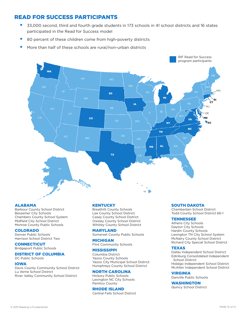#### READ FOR SUCCESS PARTICIPANTS READ FOR SUCCESS PARTICIPANTS

- 33,000 second, third and fourth grade students in 173 schools in 41 school districts and 16 states 33,000 second, third and fourth grade students in 173 schools in 41 school districts and 16 states participated in the Read for Success model
- 80 percent of these children come from high-poverty districts 80 percent of these children come from high-poverty districts
- More than half of these schools are rural/non-urban districts More than half of these schools are rural/non-urban districts



#### ALABAMA

Barbour County School District Bessemer City Schools Chambers County School System Midfield City School District Monroe County Public Schools

#### COLORADO

Denver Public Schools Harrison School District Two

#### **CONNECTICUT**

Bridgeport Public Schools

### DISTRICT OF COLUMBIA

DC Public Schools

#### IOWA

Davis County Community School District Lu Verne School District River Valley Community School District

#### **KENTUCKY**

Breathitt County Schools Lee County School District Casey County School District Owsley County School District Whitley County School District

#### MARYLAND

Somerset County Public Schools

#### MICHIGAN

Flint Community Schools

#### **MISSISSIPPI**

Columbia District Yazoo County Schools Yazoo City Municipal School District Humphreys County School District

#### NORTH CAROLINA

Hickory Public Schools Lexington NC City Schools Pamlico County

#### RHODE ISLAND Central Falls School District

#### SOUTH DAKOTA

Chamberlain School District Todd County School District 66-1

#### **TENNESSEE**

Athens City Schools Dayton City Schools Hardin County Schools Lexington TN City School System McNairy County School District Richard City Special School District

#### **TEXAS**

Dallas Independent School District Edinburg Consolidated Independent School District Hidalgo Independent School District McAllen Independent School District

VIRGINIA Danville Public Schools

#### WASHINGTON

Quincy School District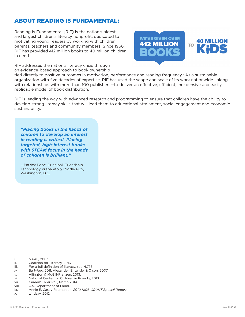### ABOUT READING IS FUNDAMENTAL:

Reading Is Fundamental (RIF) is the nation's oldest and largest children's literacy nonprofit, dedicated to motivating young readers by working with children, parents, teachers and community members. Since 1966, RIF has provided 412 million books to 40 million children in need.

RIF addresses the nation's literacy crisis through an evidence-based approach to book ownership





tied directly to positive outcomes in motivation, performance and reading frequency.<sup>x</sup> As a sustainable organization with five decades of expertise, RIF has used the scope and scale of its work nationwide—along with relationships with more than 100 publishers—to deliver an effective, efficient, inexpensive and easily replicable model of book distribution.

RIF is leading the way with advanced research and programming to ensure that children have the ability to develop strong literacy skills that will lead them to educational attainment, social engagement and economic sustainability.

*"Placing books in the hands of children to develop an interest in reading is critical. Placing targeted, high-interest books with STEAM focus in the hands of children is brilliant."*

—Patrick Pope, Principal, Friendship Technology Preparatory Middle PCS, Washington, D.C.

\_\_\_\_\_\_\_\_\_\_\_\_\_\_\_\_\_\_\_

- iii. For a full definition of literacy, see NCTE.
- *iv. Ed Week*, 2011; Alexander, Entwisle, & Olson, 2007.
- v. Allington & McGill-Franzen, 2013.
- vi. National Center for Children in Poverty, 2013.
- vii. Careerbuilder Poll, March 2014.
- viii. U.S. Department of Labor.

x. Lindsay, 2012.

i. NAAL, 2003.

ii. Coalition for Literacy, 2013.

ix. Annie E. Casey Foundation, *2010 KIDS COUNT Special Report*.